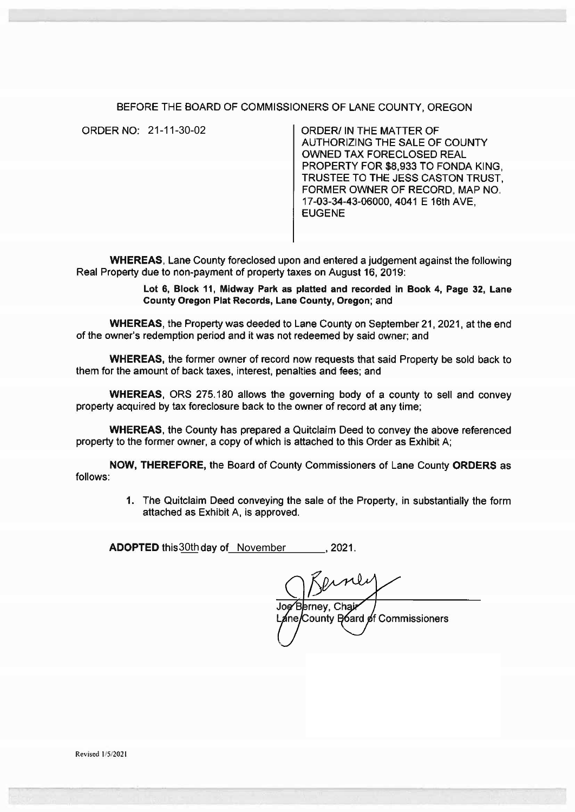## BEFORE THE BOARD OF COMMISSIONERS OF LANE COUNTY, OREGON

ORDER/ IN THE MATTER OF AUTHORIZING THE SALE OF COUNTY OWNED TAX FORECLOSED REAL PROPERTY FOR \$8,933 TO FONDA KING, TRUSTEE TO THE JESS CASTON TRUST, FORMER OWNER OF RECORD. MAP NO. 17-03-34-43-06000, 4041 E 16th AVE, **EUGENE** ORDER NO: 21-11-30-02

WHEREAS, Lane County foreclosed upon and entered a judgement against the following Real Property due to non-payment of property taxes on August 16, 2019:

> Lot 6, Block 11, Midway Park as platted and recorded in Book 4, Page 32, Lane County Oregon Plat Records, Lane County, Oregon; and

WHEREAS, the Property was deeded to Lane County on September 21, 2021, at the end of the owner's redemption period and it was not redeemed by said owner; and

WHEREAS, the former owner of record now requests that said Property be sold back to them for the amount of back taxes, interest, penalties and fees; and

WHEREAS, ORS 275.180 allows the governing body of a county to sell and convey property acquired by tax foreclosure back to the owner of record at any time;

WHEREAS, the County has prepared a Quitclaim Deed to convey the above referenced property to the former owner, a copy of which is attached to this Order as Exhibit A;

NOW, THEREFORE, the Board of County Commissioners of Lane County ORDERS as follows:

> 1. The Quitclaim Deed conveying the sale of the Property, in substantially the form attached as Exhibit A, is approved.

ADOPTED this 30th day of \_November \_\_\_\_\_\_, 2021.

Joe Berney, Chair ane/County Board of Commissioners